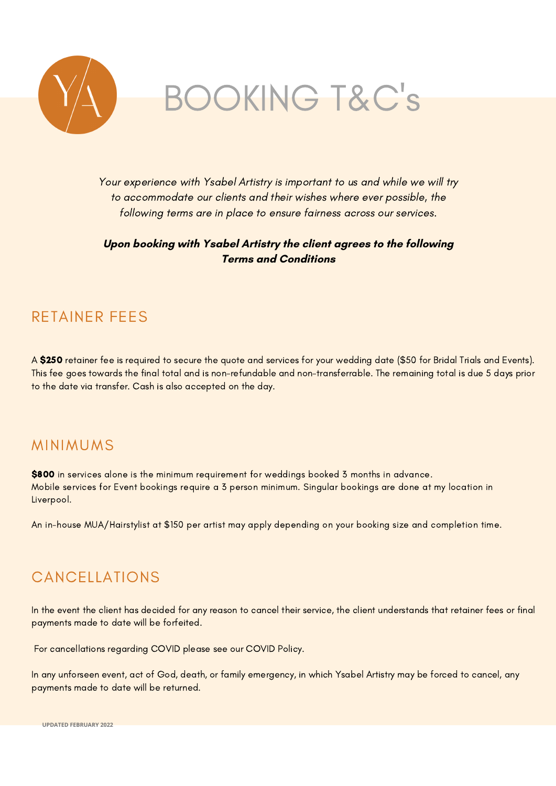

Your experience with Ysabel Artistry is important to us and while we will try to accommodate our clients and their wishes where ever possible, the following terms are in place to ensure fairness across our services.

**Upon booking with Ysabel Artistry the client agrees to the following Terms and Conditions**

## RETAINER FEES

A \$250 retainer fee is required to secure the quote and services for your wedding date (\$50 for Bridal Trials and Events). This fee goes towards the final total and is non-refundable and non-transferrable. The remaining total is due 5 days prior to the date via transfer. Cash is also accepted on the day.

### MINIMUMS

\$800 in services alone is the minimum requirement for weddings booked 3 months in advance. Mobile services for Event bookings require a 3 person minimum. Singular bookings are done at my location in Liverpool.

An in-house MUA/Hairstylist at \$150 per artist may apply depending on your booking size and completion time.

## CANCELLATIONS

In the event the client has decided for any reason to cancel their service, the client understands that retainer fees or final payments made to date will be forfeited.

For cancellations regarding COVID please see our COVID Policy.

In any unforseen event, act of God, death, or family emergency, in which Ysabel Artistry may be forced to cancel, any payments made to date will be returned.